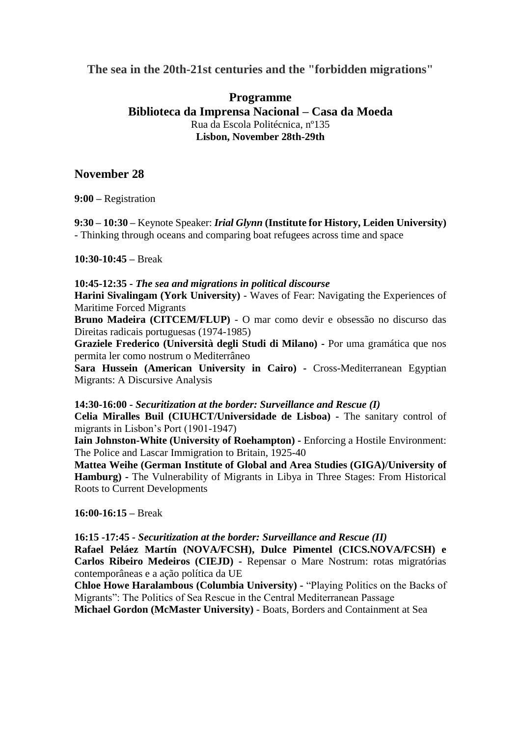**The sea in the 20th-21st centuries and the "forbidden migrations"**

## **Programme Biblioteca da Imprensa Nacional – Casa da Moeda** Rua da Escola Politécnica, nº135 **Lisbon, November 28th-29th**

## **November 28**

**9:00 –** Registration

**9:30 – 10:30 –** Keynote Speaker: *Irial Glynn* **(Institute for History, Leiden University)** - Thinking through oceans and comparing boat refugees across time and space

## **10:30-10:45 –** Break

**10:45-12:35 -** *The sea and migrations in political discourse*

**Harini Sivalingam (York University)** - Waves of Fear: Navigating the Experiences of Maritime Forced Migrants

**Bruno Madeira (CITCEM/FLUP)** - O mar como devir e obsessão no discurso das Direitas radicais portuguesas (1974-1985)

**Graziele Frederico (Università degli Studi di Milano) -** Por uma gramática que nos permita ler como nostrum o Mediterrâneo

**Sara Hussein (American University in Cairo) -** Cross-Mediterranean Egyptian Migrants: A Discursive Analysis

**14:30-16:00 -** *Securitization at the border: Surveillance and Rescue (I)*

**Celia Miralles Buil (CIUHCT/Universidade de Lisboa) -** The sanitary control of migrants in Lisbon's Port (1901-1947)

**Iain Johnston-White (University of Roehampton) -** Enforcing a Hostile Environment: The Police and Lascar Immigration to Britain, 1925-40

**Mattea Weihe (German Institute of Global and Area Studies (GIGA)/University of Hamburg) -** The Vulnerability of Migrants in Libya in Three Stages: From Historical Roots to Current Developments

**16:00-16:15 –** Break

**16:15 -17:45 -** *Securitization at the border: Surveillance and Rescue (II)*

**Rafael Peláez Martín (NOVA/FCSH), Dulce Pimentel (CICS.NOVA/FCSH) e Carlos Ribeiro Medeiros (CIEJD) -** Repensar o Mare Nostrum: rotas migratórias contemporâneas e a ação política da UE

**Chloe Howe Haralambous (Columbia University) -** "Playing Politics on the Backs of Migrants": The Politics of Sea Rescue in the Central Mediterranean Passage

**Michael Gordon (McMaster University)** - Boats, Borders and Containment at Sea